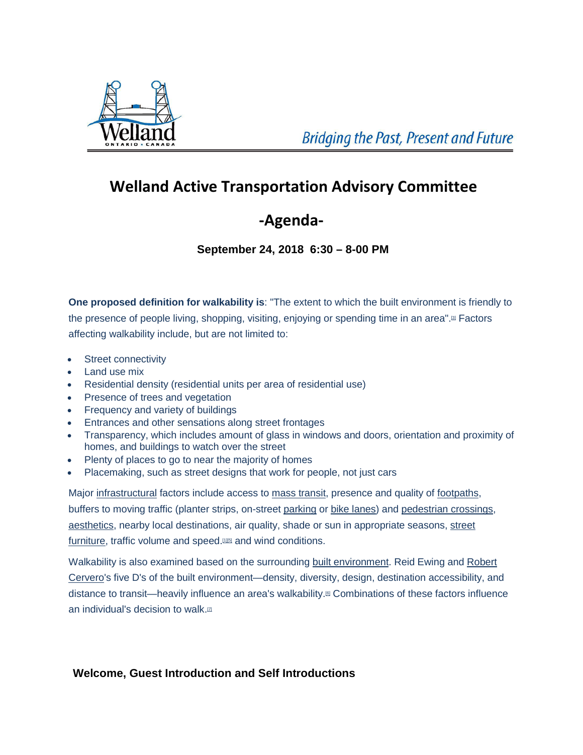

## **Welland Active Transportation Advisory Committee**

## **-Agenda-**

**September 24, 2018 6:30 – 8-00 PM**

**One proposed definition for walkability is**: "The extent to which the built environment is friendly to the presence of people living, shopping, visiting, enjoying or spending time in an area".<sup>[3]</sup> Factors

affecting walkability include, but are not limited to:

- [Street connectivity](https://en.wikipedia.org/wiki/Permeability_(spatial_and_transport_planning))
- [Land use](https://en.wikipedia.org/wiki/Land_use) mix
- Residential density (residential units per area of residential use)
- **Presence of trees and vegetation**
- Frequency and variety of buildings
- Entrances and other sensations along street frontages
- Transparency, which includes amount of glass in windows and doors, orientation and proximity of homes, and buildings to [watch over](https://en.wikipedia.org/wiki/Surveillance) the street
- Plenty of places to go to near the majority of homes
- Placemaking, such as street designs that work for people, not just cars

Major [infrastructural](https://en.wikipedia.org/wiki/Infrastructure) factors include access to [mass transit,](https://en.wikipedia.org/wiki/Mass_transit) presence and quality of [footpaths,](https://en.wikipedia.org/wiki/Footpaths) buffers to moving traffic (planter strips, on-street [parking](https://en.wikipedia.org/wiki/Parking) or [bike lanes\)](https://en.wikipedia.org/wiki/Bike_lanes) and [pedestrian crossings,](https://en.wikipedia.org/wiki/Pedestrian_crossing) [aesthetics,](https://en.wikipedia.org/wiki/Aesthetics) nearby local destinations, air quality, shade or sun in appropriate seasons, [street](https://en.wikipedia.org/wiki/Street_furniture)  [furniture,](https://en.wikipedia.org/wiki/Street_furniture) traffic volume and speed.<sup>[1][[5\]](https://en.wikipedia.org/wiki/Walkability#cite_note-5)</sup> and wind conditions.

Walkability is also examined based on the surrounding [built environment.](https://en.wikipedia.org/wiki/Built_environment) Reid Ewing and Robert [Cervero's](https://en.wikipedia.org/wiki/Robert_Cervero) five D's of the built environment—density, diversity, design, destination accessibility, and distance to transit—heavily influence an area's walkability[.\[6\]](https://en.wikipedia.org/wiki/Walkability#cite_note-6) Combinations of these factors influence an individual's decision to walk.<sup>[2]</sup>

**Welcome, Guest Introduction and Self Introductions**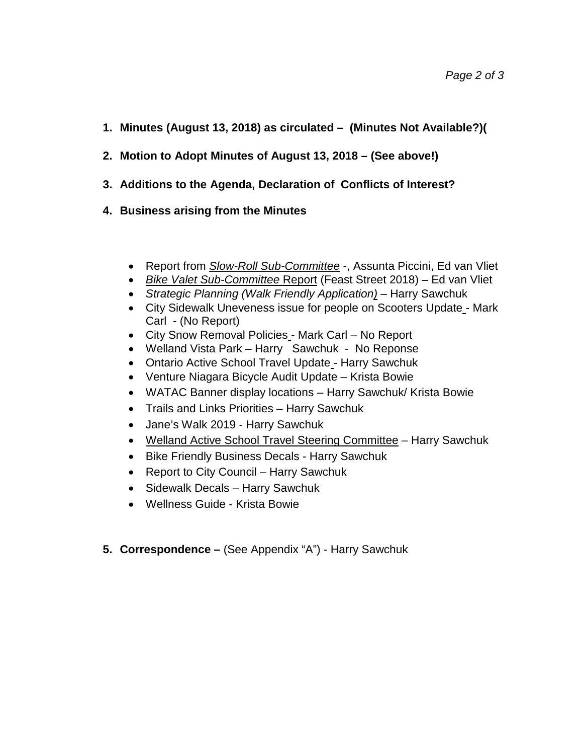- **1. Minutes (August 13, 2018) as circulated – (Minutes Not Available?)(**
- **2. Motion to Adopt Minutes of August 13, 2018 – (See above!)**
- **3. Additions to the Agenda, Declaration of Conflicts of Interest?**
- **4. Business arising from the Minutes**
	- Report from *Slow-Roll Sub-Committee* -, Assunta Piccini, Ed van Vliet
	- *Bike Valet Sub-Committee* Report (Feast Street 2018) Ed van Vliet
	- *Strategic Planning (Walk Friendly Application) –* Harry Sawchuk
	- City Sidewalk Uneveness issue for people on Scooters Update Mark Carl - (No Report)
	- City Snow Removal Policies Mark Carl No Report
	- Welland Vista Park Harry Sawchuk No Reponse
	- Ontario Active School Travel Update Harry Sawchuk
	- Venture Niagara Bicycle Audit Update Krista Bowie
	- WATAC Banner display locations Harry Sawchuk/ Krista Bowie
	- Trails and Links Priorities Harry Sawchuk
	- Jane's Walk 2019 Harry Sawchuk
	- Welland Active School Travel Steering Committee Harry Sawchuk
	- Bike Friendly Business Decals Harry Sawchuk
	- Report to City Council Harry Sawchuk
	- Sidewalk Decals Harry Sawchuk
	- Wellness Guide Krista Bowie
- **5. Correspondence –** (See Appendix "A") Harry Sawchuk